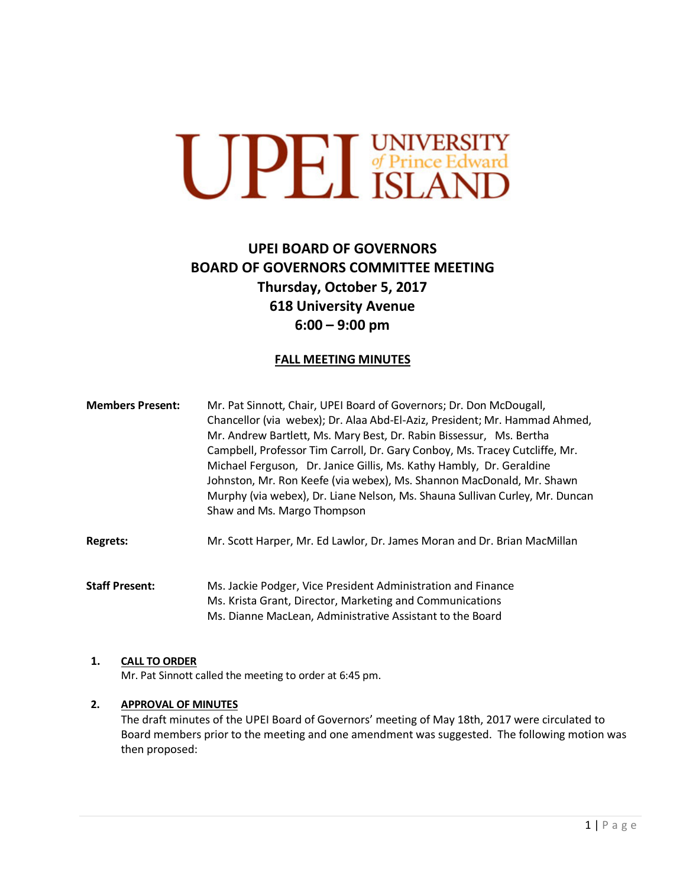# **UPEL** UNIVERSITY

# **UPEI BOARD OF GOVERNORS BOARD OF GOVERNORS COMMITTEE MEETING Thursday, October 5, 2017 618 University Avenue 6:00 – 9:00 pm**

# **FALL MEETING MINUTES**

| <b>Members Present:</b> | Mr. Pat Sinnott, Chair, UPEI Board of Governors; Dr. Don McDougall,<br>Chancellor (via webex); Dr. Alaa Abd-El-Aziz, President; Mr. Hammad Ahmed,<br>Mr. Andrew Bartlett, Ms. Mary Best, Dr. Rabin Bissessur, Ms. Bertha<br>Campbell, Professor Tim Carroll, Dr. Gary Conboy, Ms. Tracey Cutcliffe, Mr.<br>Michael Ferguson, Dr. Janice Gillis, Ms. Kathy Hambly, Dr. Geraldine<br>Johnston, Mr. Ron Keefe (via webex), Ms. Shannon MacDonald, Mr. Shawn<br>Murphy (via webex), Dr. Liane Nelson, Ms. Shauna Sullivan Curley, Mr. Duncan |
|-------------------------|------------------------------------------------------------------------------------------------------------------------------------------------------------------------------------------------------------------------------------------------------------------------------------------------------------------------------------------------------------------------------------------------------------------------------------------------------------------------------------------------------------------------------------------|
|                         | Shaw and Ms. Margo Thompson                                                                                                                                                                                                                                                                                                                                                                                                                                                                                                              |

**Regrets:** Mr. Scott Harper, Mr. Ed Lawlor, Dr. James Moran and Dr. Brian MacMillan

**Staff Present:** Ms. Jackie Podger, Vice President Administration and Finance Ms. Krista Grant, Director, Marketing and Communications Ms. Dianne MacLean, Administrative Assistant to the Board

### **1. CALL TO ORDER**

Mr. Pat Sinnott called the meeting to order at 6:45 pm.

### **2. APPROVAL OF MINUTES**

The draft minutes of the UPEI Board of Governors' meeting of May 18th, 2017 were circulated to Board members prior to the meeting and one amendment was suggested. The following motion was then proposed: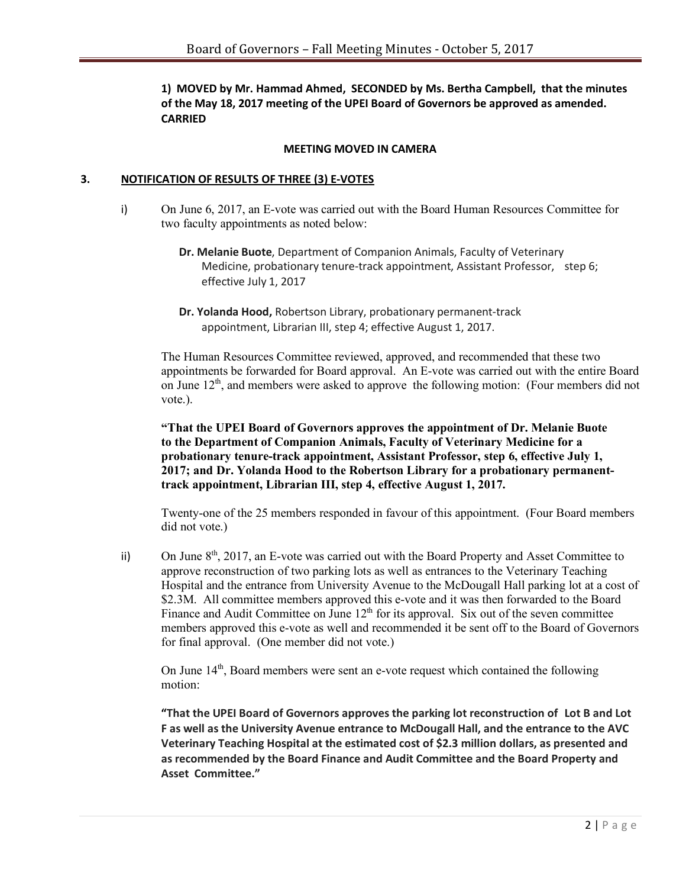**1) MOVED by Mr. Hammad Ahmed, SECONDED by Ms. Bertha Campbell, that the minutes of the May 18, 2017 meeting of the UPEI Board of Governors be approved as amended. CARRIED**

#### **MEETING MOVED IN CAMERA**

#### **3. NOTIFICATION OF RESULTS OF THREE (3) E-VOTES**

- i) On June 6, 2017, an E-vote was carried out with the Board Human Resources Committee for two faculty appointments as noted below:
	- **Dr. Melanie Buote**, Department of Companion Animals, Faculty of Veterinary Medicine, probationary tenure-track appointment, Assistant Professor, step 6; effective July 1, 2017
	- **Dr. Yolanda Hood,** Robertson Library, probationary permanent-track appointment, Librarian III, step 4; effective August 1, 2017.

The Human Resources Committee reviewed, approved, and recommended that these two appointments be forwarded for Board approval. An E-vote was carried out with the entire Board on June  $12<sup>th</sup>$ , and members were asked to approve the following motion: (Four members did not vote.).

**"That the UPEI Board of Governors approves the appointment of Dr. Melanie Buote to the Department of Companion Animals, Faculty of Veterinary Medicine for a probationary tenure-track appointment, Assistant Professor, step 6, effective July 1, 2017; and Dr. Yolanda Hood to the Robertson Library for a probationary permanenttrack appointment, Librarian III, step 4, effective August 1, 2017.** 

Twenty-one of the 25 members responded in favour of this appointment. (Four Board members did not vote.)

ii) On June 8<sup>th</sup>, 2017, an E-vote was carried out with the Board Property and Asset Committee to approve reconstruction of two parking lots as well as entrances to the Veterinary Teaching Hospital and the entrance from University Avenue to the McDougall Hall parking lot at a cost of \$2.3M. All committee members approved this e-vote and it was then forwarded to the Board Finance and Audit Committee on June  $12<sup>th</sup>$  for its approval. Six out of the seven committee members approved this e-vote as well and recommended it be sent off to the Board of Governors for final approval. (One member did not vote.)

On June  $14<sup>th</sup>$ , Board members were sent an e-vote request which contained the following motion:

**"That the UPEI Board of Governors approves the parking lot reconstruction of Lot B and Lot F as well as the University Avenue entrance to McDougall Hall, and the entrance to the AVC Veterinary Teaching Hospital at the estimated cost of \$2.3 million dollars, as presented and as recommended by the Board Finance and Audit Committee and the Board Property and Asset Committee."**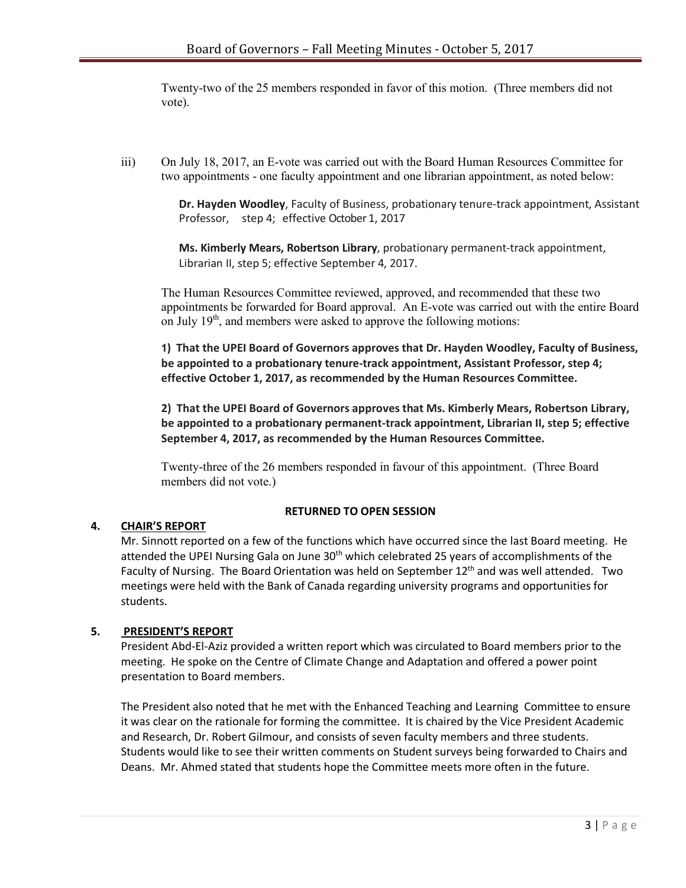Twenty-two of the 25 members responded in favor of this motion. (Three members did not vote).

iii) On July 18, 2017, an E-vote was carried out with the Board Human Resources Committee for two appointments - one faculty appointment and one librarian appointment, as noted below:

> **Dr. Hayden Woodley**, Faculty of Business, probationary tenure-track appointment, Assistant Professor, step 4; effective October 1, 2017

**Ms. Kimberly Mears, Robertson Library**, probationary permanent-track appointment, Librarian II, step 5; effective September 4, 2017.

The Human Resources Committee reviewed, approved, and recommended that these two appointments be forwarded for Board approval. An E-vote was carried out with the entire Board on July  $19<sup>th</sup>$ , and members were asked to approve the following motions:

**1) That the UPEI Board of Governors approves that Dr. Hayden Woodley, Faculty of Business, be appointed to a probationary tenure-track appointment, Assistant Professor, step 4; effective October 1, 2017, as recommended by the Human Resources Committee.**

**2) That the UPEI Board of Governors approves that Ms. Kimberly Mears, Robertson Library, be appointed to a probationary permanent-track appointment, Librarian II, step 5; effective September 4, 2017, as recommended by the Human Resources Committee.**

Twenty-three of the 26 members responded in favour of this appointment. (Three Board members did not vote.)

### **RETURNED TO OPEN SESSION**

### **4. CHAIR'S REPORT**

Mr. Sinnott reported on a few of the functions which have occurred since the last Board meeting. He attended the UPEI Nursing Gala on June 30<sup>th</sup> which celebrated 25 years of accomplishments of the Faculty of Nursing. The Board Orientation was held on September  $12<sup>th</sup>$  and was well attended. Two meetings were held with the Bank of Canada regarding university programs and opportunities for students.

### **5. PRESIDENT'S REPORT**

President Abd-El-Aziz provided a written report which was circulated to Board members prior to the meeting. He spoke on the Centre of Climate Change and Adaptation and offered a power point presentation to Board members.

The President also noted that he met with the Enhanced Teaching and Learning Committee to ensure it was clear on the rationale for forming the committee. It is chaired by the Vice President Academic and Research, Dr. Robert Gilmour, and consists of seven faculty members and three students. Students would like to see their written comments on Student surveys being forwarded to Chairs and Deans. Mr. Ahmed stated that students hope the Committee meets more often in the future.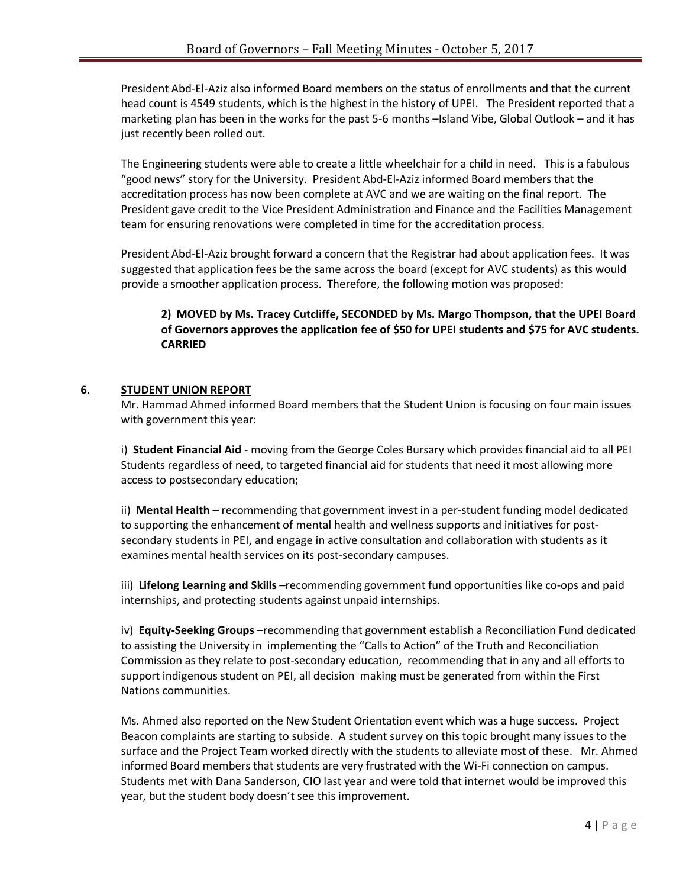President Abd-El-Aziz also informed Board members on the status of enrollments and that the current head count is 4549 students, which is the highest in the history of UPEI. The President reported that a marketing plan has been in the works for the past 5-6 months –Island Vibe, Global Outlook – and it has just recently been rolled out.

The Engineering students were able to create a little wheelchair for a child in need. This is a fabulous "good news" story for the University. President Abd-El-Aziz informed Board members that the accreditation process has now been complete at AVC and we are waiting on the final report. The President gave credit to the Vice President Administration and Finance and the Facilities Management team for ensuring renovations were completed in time for the accreditation process.

President Abd-El-Aziz brought forward a concern that the Registrar had about application fees. It was suggested that application fees be the same across the board (except for AVC students) as this would provide a smoother application process. Therefore, the following motion was proposed:

# **2) MOVED by Ms. Tracey Cutcliffe, SECONDED by Ms. Margo Thompson, that the UPEI Board of Governors approves the application fee of \$50 for UPEI students and \$75 for AVC students. CARRIED**

### **6. STUDENT UNION REPORT**

Mr. Hammad Ahmed informed Board members that the Student Union is focusing on four main issues with government this year:

i) **Student Financial Aid** - moving from the George Coles Bursary which provides financial aid to all PEI Students regardless of need, to targeted financial aid for students that need it most allowing more access to postsecondary education;

ii) **Mental Health –** recommending that government invest in a per-student funding model dedicated to supporting the enhancement of mental health and wellness supports and initiatives for postsecondary students in PEI, and engage in active consultation and collaboration with students as it examines mental health services on its post-secondary campuses.

iii) **Lifelong Learning and Skills –**recommending government fund opportunities like co-ops and paid internships, and protecting students against unpaid internships.

iv) **Equity-Seeking Groups** –recommending that government establish a Reconciliation Fund dedicated to assisting the University in implementing the "Calls to Action" of the Truth and Reconciliation Commission as they relate to post-secondary education, recommending that in any and all efforts to support indigenous student on PEI, all decision making must be generated from within the First Nations communities.

Ms. Ahmed also reported on the New Student Orientation event which was a huge success. Project Beacon complaints are starting to subside. A student survey on this topic brought many issues to the surface and the Project Team worked directly with the students to alleviate most of these. Mr. Ahmed informed Board members that students are very frustrated with the Wi-Fi connection on campus. Students met with Dana Sanderson, CIO last year and were told that internet would be improved this year, but the student body doesn't see this improvement.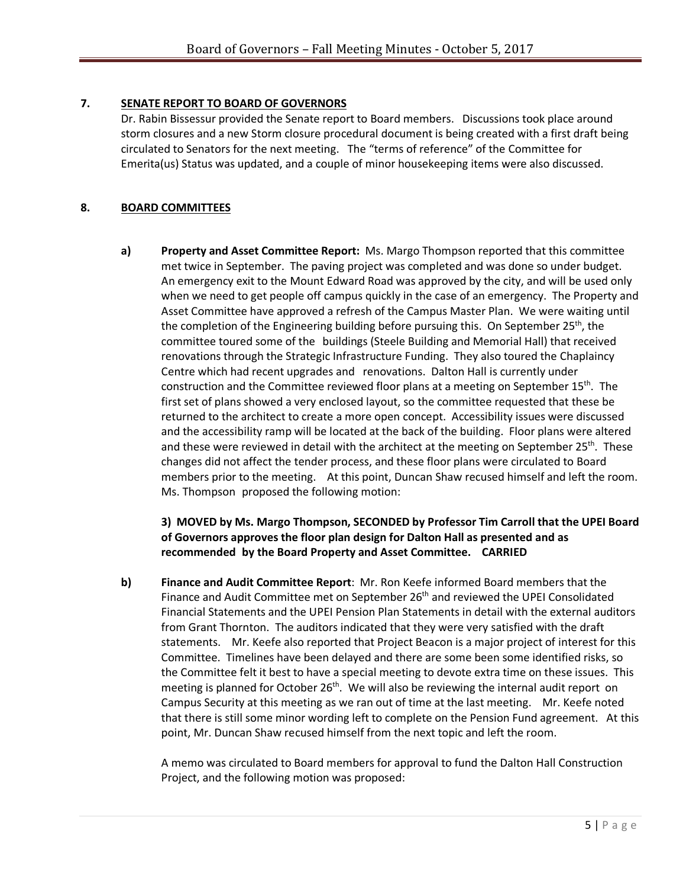# **7. SENATE REPORT TO BOARD OF GOVERNORS**

Dr. Rabin Bissessur provided the Senate report to Board members. Discussions took place around storm closures and a new Storm closure procedural document is being created with a first draft being circulated to Senators for the next meeting. The "terms of reference" of the Committee for Emerita(us) Status was updated, and a couple of minor housekeeping items were also discussed.

# **8. BOARD COMMITTEES**

**a) Property and Asset Committee Report:** Ms. Margo Thompson reported that this committee met twice in September. The paving project was completed and was done so under budget. An emergency exit to the Mount Edward Road was approved by the city, and will be used only when we need to get people off campus quickly in the case of an emergency. The Property and Asset Committee have approved a refresh of the Campus Master Plan. We were waiting until the completion of the Engineering building before pursuing this. On September 25<sup>th</sup>, the committee toured some of the buildings (Steele Building and Memorial Hall) that received renovations through the Strategic Infrastructure Funding. They also toured the Chaplaincy Centre which had recent upgrades and renovations. Dalton Hall is currently under construction and the Committee reviewed floor plans at a meeting on September  $15<sup>th</sup>$ . The first set of plans showed a very enclosed layout, so the committee requested that these be returned to the architect to create a more open concept. Accessibility issues were discussed and the accessibility ramp will be located at the back of the building. Floor plans were altered and these were reviewed in detail with the architect at the meeting on September  $25<sup>th</sup>$ . These changes did not affect the tender process, and these floor plans were circulated to Board members prior to the meeting. At this point, Duncan Shaw recused himself and left the room. Ms. Thompson proposed the following motion:

# **3) MOVED by Ms. Margo Thompson, SECONDED by Professor Tim Carroll that the UPEI Board of Governors approves the floor plan design for Dalton Hall as presented and as recommended by the Board Property and Asset Committee. CARRIED**

**b) Finance and Audit Committee Report**: Mr. Ron Keefe informed Board members that the Finance and Audit Committee met on September 26<sup>th</sup> and reviewed the UPEI Consolidated Financial Statements and the UPEI Pension Plan Statements in detail with the external auditors from Grant Thornton. The auditors indicated that they were very satisfied with the draft statements. Mr. Keefe also reported that Project Beacon is a major project of interest for this Committee. Timelines have been delayed and there are some been some identified risks, so the Committee felt it best to have a special meeting to devote extra time on these issues. This meeting is planned for October 26<sup>th</sup>. We will also be reviewing the internal audit report on Campus Security at this meeting as we ran out of time at the last meeting. Mr. Keefe noted that there is still some minor wording left to complete on the Pension Fund agreement. At this point, Mr. Duncan Shaw recused himself from the next topic and left the room.

A memo was circulated to Board members for approval to fund the Dalton Hall Construction Project, and the following motion was proposed: